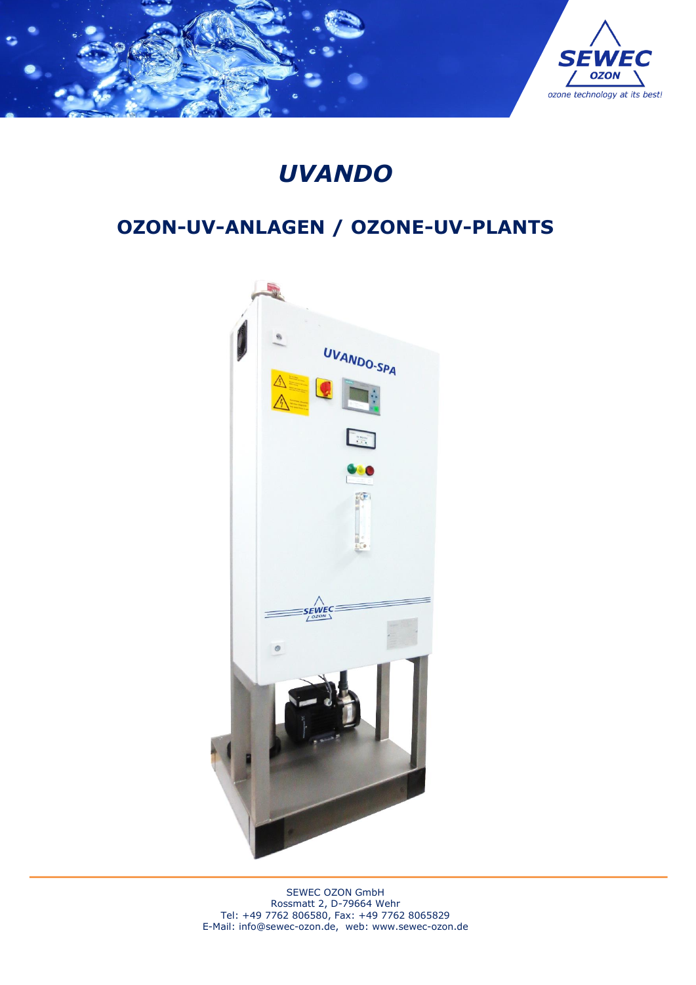

# *UVANDO*

# **OZON-UV-ANLAGEN / OZONE-UV-PLANTS**



SEWEC OZON GmbH Rossmatt 2, D-79664 Wehr Tel: +49 7762 806580, Fax: +49 7762 8065829 E-Mail: [info@sewec-ozon.de,](mailto:info@sewec-ozon.de) web: www.sewec-ozon.de